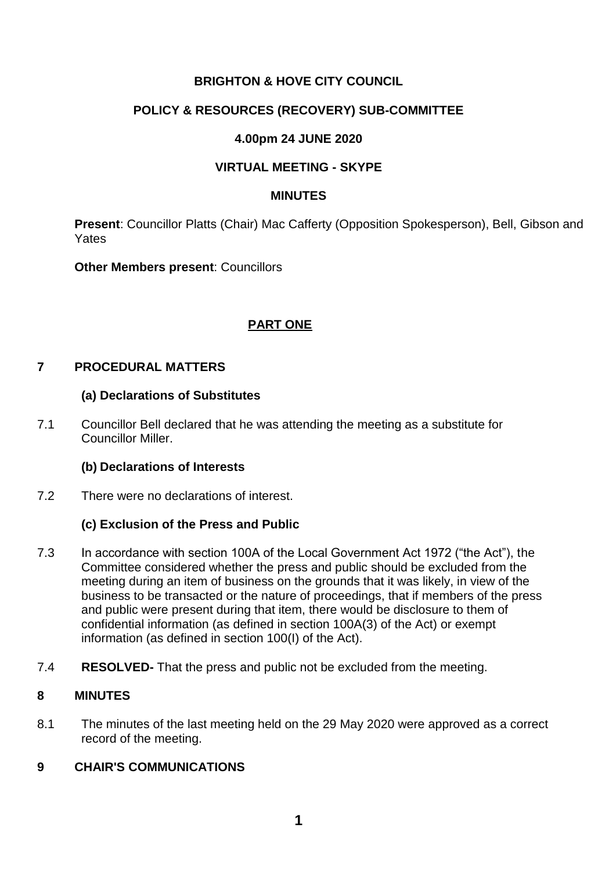# **BRIGHTON & HOVE CITY COUNCIL**

# **POLICY & RESOURCES (RECOVERY) SUB-COMMITTEE**

# **4.00pm 24 JUNE 2020**

# **VIRTUAL MEETING - SKYPE**

#### **MINUTES**

**Present**: Councillor Platts (Chair) Mac Cafferty (Opposition Spokesperson), Bell, Gibson and Yates

**Other Members present**: Councillors

# **PART ONE**

# **7 PROCEDURAL MATTERS**

#### **(a) Declarations of Substitutes**

7.1 Councillor Bell declared that he was attending the meeting as a substitute for Councillor Miller.

## **(b) Declarations of Interests**

7.2 There were no declarations of interest.

## **(c) Exclusion of the Press and Public**

- 7.3 In accordance with section 100A of the Local Government Act 1972 ("the Act"), the Committee considered whether the press and public should be excluded from the meeting during an item of business on the grounds that it was likely, in view of the business to be transacted or the nature of proceedings, that if members of the press and public were present during that item, there would be disclosure to them of confidential information (as defined in section 100A(3) of the Act) or exempt information (as defined in section 100(I) of the Act).
- 7.4 **RESOLVED-** That the press and public not be excluded from the meeting.

### **8 MINUTES**

8.1 The minutes of the last meeting held on the 29 May 2020 were approved as a correct record of the meeting.

# **9 CHAIR'S COMMUNICATIONS**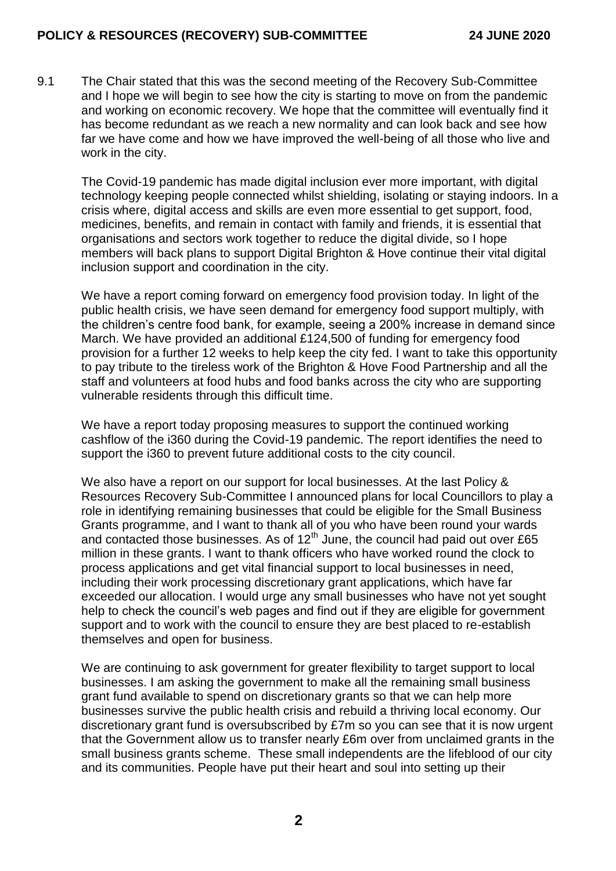9.1 The Chair stated that this was the second meeting of the Recovery Sub-Committee and I hope we will begin to see how the city is starting to move on from the pandemic and working on economic recovery. We hope that the committee will eventually find it has become redundant as we reach a new normality and can look back and see how far we have come and how we have improved the well-being of all those who live and work in the city.

The Covid-19 pandemic has made digital inclusion ever more important, with digital technology keeping people connected whilst shielding, isolating or staying indoors. In a crisis where, digital access and skills are even more essential to get support, food, medicines, benefits, and remain in contact with family and friends, it is essential that organisations and sectors work together to reduce the digital divide, so I hope members will back plans to support Digital Brighton & Hove continue their vital digital inclusion support and coordination in the city.

We have a report coming forward on emergency food provision today. In light of the public health crisis, we have seen demand for emergency food support multiply, with the children's centre food bank, for example, seeing a 200% increase in demand since March. We have provided an additional £124,500 of funding for emergency food provision for a further 12 weeks to help keep the city fed. I want to take this opportunity to pay tribute to the tireless work of the Brighton & Hove Food Partnership and all the staff and volunteers at food hubs and food banks across the city who are supporting vulnerable residents through this difficult time.

We have a report today proposing measures to support the continued working cashflow of the i360 during the Covid-19 pandemic. The report identifies the need to support the i360 to prevent future additional costs to the city council.

We also have a report on our support for local businesses. At the last Policy & Resources Recovery Sub-Committee I announced plans for local Councillors to play a role in identifying remaining businesses that could be eligible for the Small Business Grants programme, and I want to thank all of you who have been round your wards and contacted those businesses. As of  $12<sup>th</sup>$  June, the council had paid out over £65 million in these grants. I want to thank officers who have worked round the clock to process applications and get vital financial support to local businesses in need, including their work processing discretionary grant applications, which have far exceeded our allocation. I would urge any small businesses who have not yet sought help to check the council's web pages and find out if they are eligible for government support and to work with the council to ensure they are best placed to re-establish themselves and open for business.

We are continuing to ask government for greater flexibility to target support to local businesses. I am asking the government to make all the remaining small business grant fund available to spend on discretionary grants so that we can help more businesses survive the public health crisis and rebuild a thriving local economy. Our discretionary grant fund is oversubscribed by £7m so you can see that it is now urgent that the Government allow us to transfer nearly £6m over from unclaimed grants in the small business grants scheme. These small independents are the lifeblood of our city and its communities. People have put their heart and soul into setting up their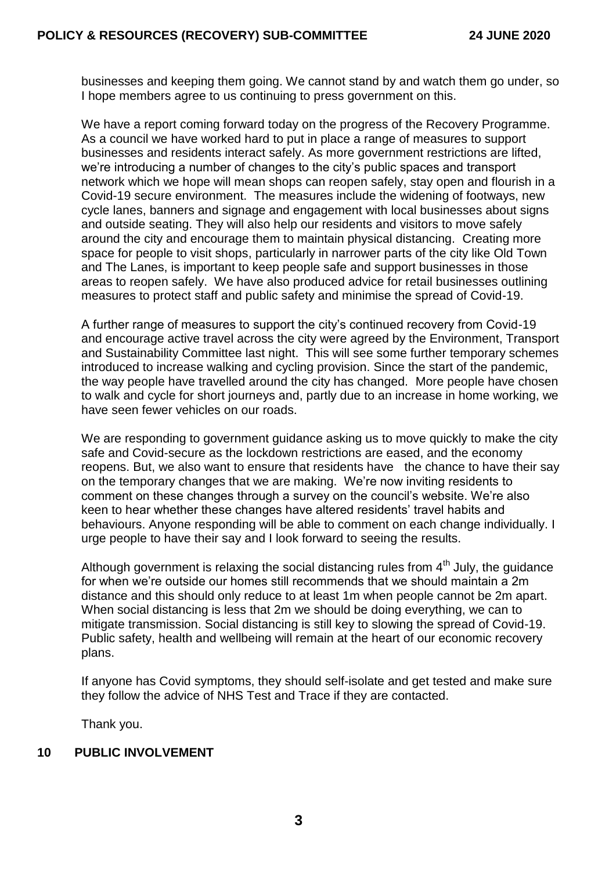businesses and keeping them going. We cannot stand by and watch them go under, so I hope members agree to us continuing to press government on this.

We have a report coming forward today on the progress of the Recovery Programme. As a council we have worked hard to put in place a range of measures to support businesses and residents interact safely. As more government restrictions are lifted, we're introducing a number of changes to the city's public spaces and transport network which we hope will mean shops can reopen safely, stay open and flourish in a Covid-19 secure environment. The measures include the widening of footways, new cycle lanes, banners and signage and engagement with local businesses about signs and outside seating. They will also help our residents and visitors to move safely around the city and encourage them to maintain physical distancing. Creating more space for people to visit shops, particularly in narrower parts of the city like Old Town and The Lanes, is important to keep people safe and support businesses in those areas to reopen safely. We have also produced advice for retail businesses outlining measures to protect staff and public safety and minimise the spread of Covid-19.

A further range of measures to support the city's continued recovery from Covid-19 and encourage active travel across the city were agreed by the Environment, Transport and Sustainability Committee last night. This will see some further temporary schemes introduced to increase walking and cycling provision. Since the start of the pandemic, the way people have travelled around the city has changed. More people have chosen to walk and cycle for short journeys and, partly due to an increase in home working, we have seen fewer vehicles on our roads.

We are responding to government guidance asking us to move quickly to make the city safe and Covid-secure as the lockdown restrictions are eased, and the economy reopens. But, we also want to ensure that residents have the chance to have their say on the temporary changes that we are making. We're now inviting residents to comment on these changes through a survey on the council's website. We're also keen to hear whether these changes have altered residents' travel habits and behaviours. Anyone responding will be able to comment on each change individually. I urge people to have their say and I look forward to seeing the results.

Although government is relaxing the social distancing rules from  $4<sup>th</sup>$  July, the guidance for when we're outside our homes still recommends that we should maintain a 2m distance and this should only reduce to at least 1m when people cannot be 2m apart. When social distancing is less that 2m we should be doing everything, we can to mitigate transmission. Social distancing is still key to slowing the spread of Covid-19. Public safety, health and wellbeing will remain at the heart of our economic recovery plans.

If anyone has Covid symptoms, they should self-isolate and get tested and make sure they follow the advice of NHS Test and Trace if they are contacted.

Thank you.

## **10 PUBLIC INVOLVEMENT**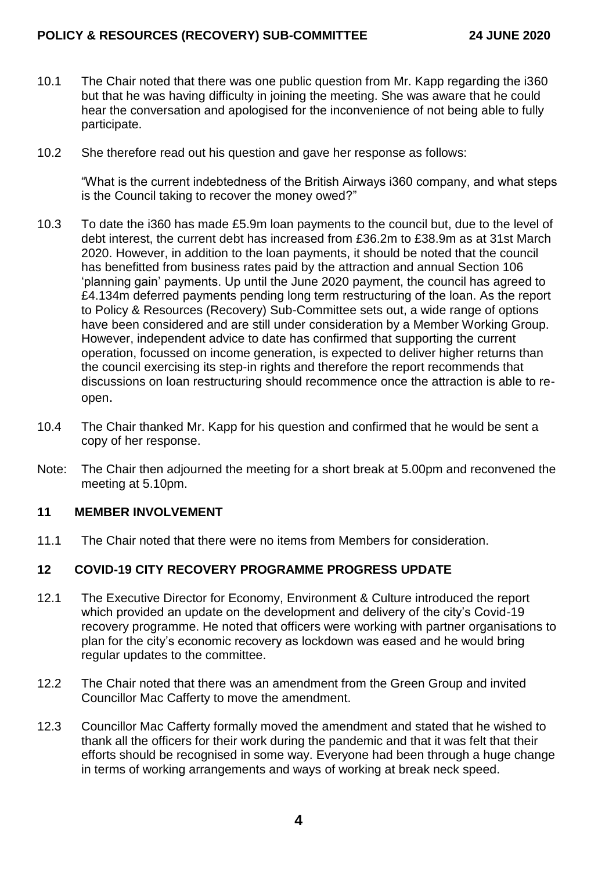## **POLICY & RESOURCES (RECOVERY) SUB-COMMITTEE 24 JUNE 2020**

- 10.1 The Chair noted that there was one public question from Mr. Kapp regarding the i360 but that he was having difficulty in joining the meeting. She was aware that he could hear the conversation and apologised for the inconvenience of not being able to fully participate.
- 10.2 She therefore read out his question and gave her response as follows:

"What is the current indebtedness of the British Airways i360 company, and what steps is the Council taking to recover the money owed?"

- 10.3 To date the i360 has made £5.9m loan payments to the council but, due to the level of debt interest, the current debt has increased from £36.2m to £38.9m as at 31st March 2020. However, in addition to the loan payments, it should be noted that the council has benefitted from business rates paid by the attraction and annual Section 106 'planning gain' payments. Up until the June 2020 payment, the council has agreed to £4.134m deferred payments pending long term restructuring of the loan. As the report to Policy & Resources (Recovery) Sub-Committee sets out, a wide range of options have been considered and are still under consideration by a Member Working Group. However, independent advice to date has confirmed that supporting the current operation, focussed on income generation, is expected to deliver higher returns than the council exercising its step-in rights and therefore the report recommends that discussions on loan restructuring should recommence once the attraction is able to reopen.
- 10.4 The Chair thanked Mr. Kapp for his question and confirmed that he would be sent a copy of her response.
- Note: The Chair then adjourned the meeting for a short break at 5.00pm and reconvened the meeting at 5.10pm.

#### **11 MEMBER INVOLVEMENT**

11.1 The Chair noted that there were no items from Members for consideration.

#### **12 COVID-19 CITY RECOVERY PROGRAMME PROGRESS UPDATE**

- 12.1 The Executive Director for Economy, Environment & Culture introduced the report which provided an update on the development and delivery of the city's Covid-19 recovery programme. He noted that officers were working with partner organisations to plan for the city's economic recovery as lockdown was eased and he would bring regular updates to the committee.
- 12.2 The Chair noted that there was an amendment from the Green Group and invited Councillor Mac Cafferty to move the amendment.
- 12.3 Councillor Mac Cafferty formally moved the amendment and stated that he wished to thank all the officers for their work during the pandemic and that it was felt that their efforts should be recognised in some way. Everyone had been through a huge change in terms of working arrangements and ways of working at break neck speed.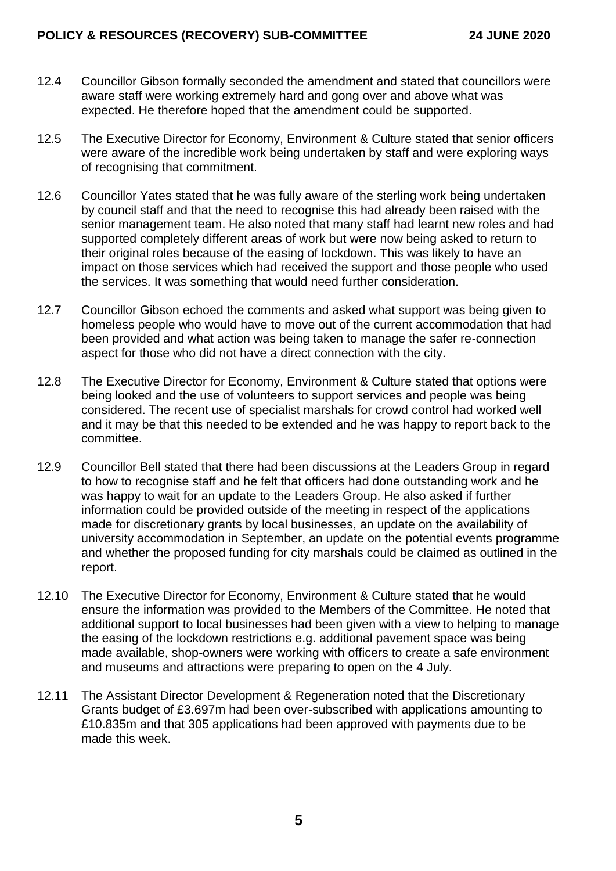## **POLICY & RESOURCES (RECOVERY) SUB-COMMITTEE 24 JUNE 2020**

- 12.4 Councillor Gibson formally seconded the amendment and stated that councillors were aware staff were working extremely hard and gong over and above what was expected. He therefore hoped that the amendment could be supported.
- 12.5 The Executive Director for Economy, Environment & Culture stated that senior officers were aware of the incredible work being undertaken by staff and were exploring ways of recognising that commitment.
- 12.6 Councillor Yates stated that he was fully aware of the sterling work being undertaken by council staff and that the need to recognise this had already been raised with the senior management team. He also noted that many staff had learnt new roles and had supported completely different areas of work but were now being asked to return to their original roles because of the easing of lockdown. This was likely to have an impact on those services which had received the support and those people who used the services. It was something that would need further consideration.
- 12.7 Councillor Gibson echoed the comments and asked what support was being given to homeless people who would have to move out of the current accommodation that had been provided and what action was being taken to manage the safer re-connection aspect for those who did not have a direct connection with the city.
- 12.8 The Executive Director for Economy, Environment & Culture stated that options were being looked and the use of volunteers to support services and people was being considered. The recent use of specialist marshals for crowd control had worked well and it may be that this needed to be extended and he was happy to report back to the committee.
- 12.9 Councillor Bell stated that there had been discussions at the Leaders Group in regard to how to recognise staff and he felt that officers had done outstanding work and he was happy to wait for an update to the Leaders Group. He also asked if further information could be provided outside of the meeting in respect of the applications made for discretionary grants by local businesses, an update on the availability of university accommodation in September, an update on the potential events programme and whether the proposed funding for city marshals could be claimed as outlined in the report.
- 12.10 The Executive Director for Economy, Environment & Culture stated that he would ensure the information was provided to the Members of the Committee. He noted that additional support to local businesses had been given with a view to helping to manage the easing of the lockdown restrictions e.g. additional pavement space was being made available, shop-owners were working with officers to create a safe environment and museums and attractions were preparing to open on the 4 July.
- 12.11 The Assistant Director Development & Regeneration noted that the Discretionary Grants budget of £3.697m had been over-subscribed with applications amounting to £10.835m and that 305 applications had been approved with payments due to be made this week.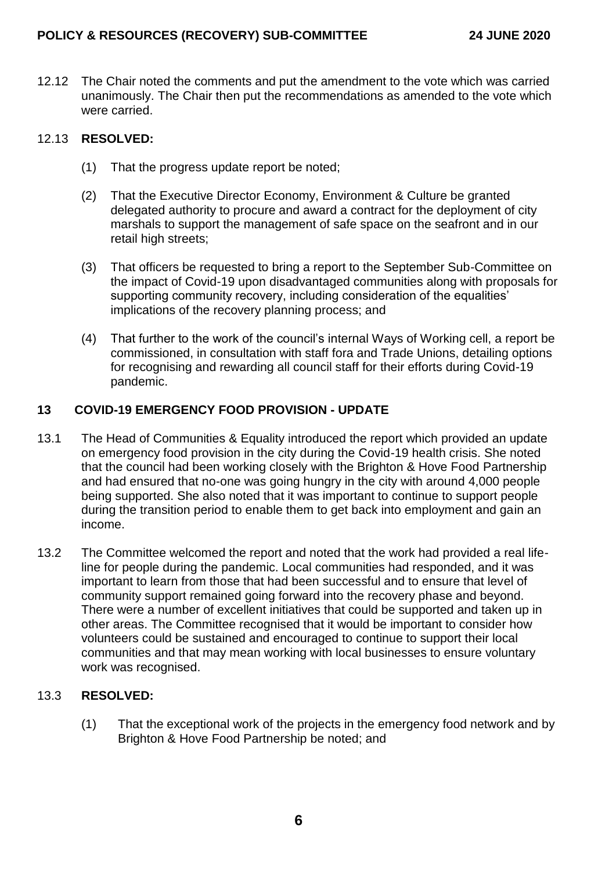12.12 The Chair noted the comments and put the amendment to the vote which was carried unanimously. The Chair then put the recommendations as amended to the vote which were carried.

# 12.13 **RESOLVED:**

- (1) That the progress update report be noted;
- (2) That the Executive Director Economy, Environment & Culture be granted delegated authority to procure and award a contract for the deployment of city marshals to support the management of safe space on the seafront and in our retail high streets;
- (3) That officers be requested to bring a report to the September Sub-Committee on the impact of Covid-19 upon disadvantaged communities along with proposals for supporting community recovery, including consideration of the equalities' implications of the recovery planning process; and
- (4) That further to the work of the council's internal Ways of Working cell, a report be commissioned, in consultation with staff fora and Trade Unions, detailing options for recognising and rewarding all council staff for their efforts during Covid-19 pandemic.

## **13 COVID-19 EMERGENCY FOOD PROVISION - UPDATE**

- 13.1 The Head of Communities & Equality introduced the report which provided an update on emergency food provision in the city during the Covid-19 health crisis. She noted that the council had been working closely with the Brighton & Hove Food Partnership and had ensured that no-one was going hungry in the city with around 4,000 people being supported. She also noted that it was important to continue to support people during the transition period to enable them to get back into employment and gain an income.
- 13.2 The Committee welcomed the report and noted that the work had provided a real lifeline for people during the pandemic. Local communities had responded, and it was important to learn from those that had been successful and to ensure that level of community support remained going forward into the recovery phase and beyond. There were a number of excellent initiatives that could be supported and taken up in other areas. The Committee recognised that it would be important to consider how volunteers could be sustained and encouraged to continue to support their local communities and that may mean working with local businesses to ensure voluntary work was recognised.

## 13.3 **RESOLVED:**

(1) That the exceptional work of the projects in the emergency food network and by Brighton & Hove Food Partnership be noted; and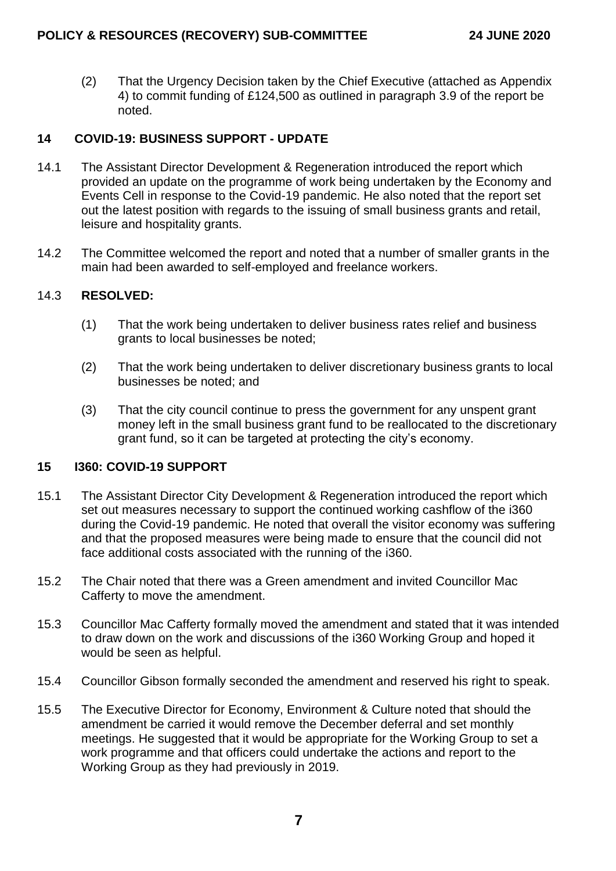(2) That the Urgency Decision taken by the Chief Executive (attached as Appendix 4) to commit funding of £124,500 as outlined in paragraph 3.9 of the report be noted.

# **14 COVID-19: BUSINESS SUPPORT - UPDATE**

- 14.1 The Assistant Director Development & Regeneration introduced the report which provided an update on the programme of work being undertaken by the Economy and Events Cell in response to the Covid-19 pandemic. He also noted that the report set out the latest position with regards to the issuing of small business grants and retail, leisure and hospitality grants.
- 14.2 The Committee welcomed the report and noted that a number of smaller grants in the main had been awarded to self-employed and freelance workers.

#### 14.3 **RESOLVED:**

- (1) That the work being undertaken to deliver business rates relief and business grants to local businesses be noted;
- (2) That the work being undertaken to deliver discretionary business grants to local businesses be noted; and
- (3) That the city council continue to press the government for any unspent grant money left in the small business grant fund to be reallocated to the discretionary grant fund, so it can be targeted at protecting the city's economy.

## **15 I360: COVID-19 SUPPORT**

- 15.1 The Assistant Director City Development & Regeneration introduced the report which set out measures necessary to support the continued working cashflow of the i360 during the Covid-19 pandemic. He noted that overall the visitor economy was suffering and that the proposed measures were being made to ensure that the council did not face additional costs associated with the running of the i360.
- 15.2 The Chair noted that there was a Green amendment and invited Councillor Mac Cafferty to move the amendment.
- 15.3 Councillor Mac Cafferty formally moved the amendment and stated that it was intended to draw down on the work and discussions of the i360 Working Group and hoped it would be seen as helpful.
- 15.4 Councillor Gibson formally seconded the amendment and reserved his right to speak.
- 15.5 The Executive Director for Economy, Environment & Culture noted that should the amendment be carried it would remove the December deferral and set monthly meetings. He suggested that it would be appropriate for the Working Group to set a work programme and that officers could undertake the actions and report to the Working Group as they had previously in 2019.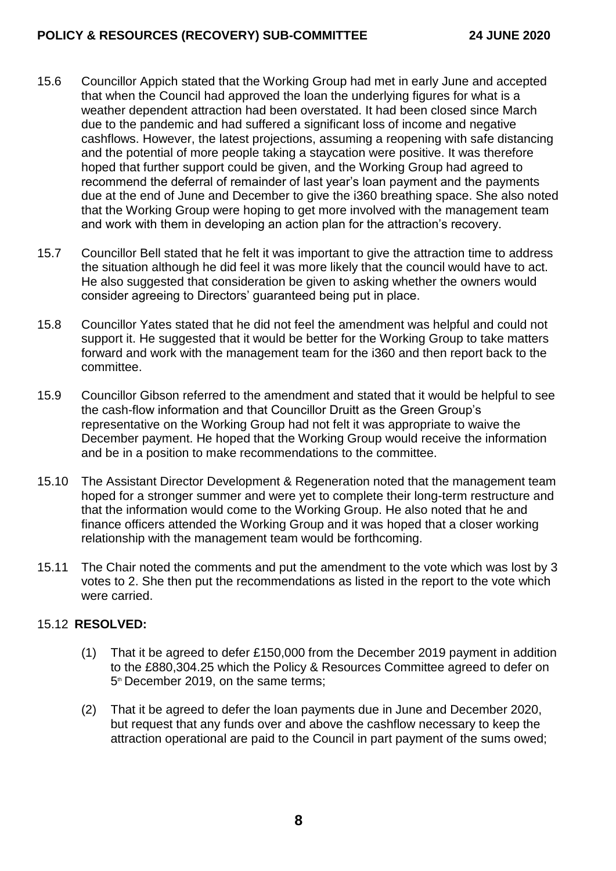# **POLICY & RESOURCES (RECOVERY) SUB-COMMITTEE 24 JUNE 2020**

- 15.6 Councillor Appich stated that the Working Group had met in early June and accepted that when the Council had approved the loan the underlying figures for what is a weather dependent attraction had been overstated. It had been closed since March due to the pandemic and had suffered a significant loss of income and negative cashflows. However, the latest projections, assuming a reopening with safe distancing and the potential of more people taking a staycation were positive. It was therefore hoped that further support could be given, and the Working Group had agreed to recommend the deferral of remainder of last year's loan payment and the payments due at the end of June and December to give the i360 breathing space. She also noted that the Working Group were hoping to get more involved with the management team and work with them in developing an action plan for the attraction's recovery.
- 15.7 Councillor Bell stated that he felt it was important to give the attraction time to address the situation although he did feel it was more likely that the council would have to act. He also suggested that consideration be given to asking whether the owners would consider agreeing to Directors' guaranteed being put in place.
- 15.8 Councillor Yates stated that he did not feel the amendment was helpful and could not support it. He suggested that it would be better for the Working Group to take matters forward and work with the management team for the i360 and then report back to the committee.
- 15.9 Councillor Gibson referred to the amendment and stated that it would be helpful to see the cash-flow information and that Councillor Druitt as the Green Group's representative on the Working Group had not felt it was appropriate to waive the December payment. He hoped that the Working Group would receive the information and be in a position to make recommendations to the committee.
- 15.10 The Assistant Director Development & Regeneration noted that the management team hoped for a stronger summer and were yet to complete their long-term restructure and that the information would come to the Working Group. He also noted that he and finance officers attended the Working Group and it was hoped that a closer working relationship with the management team would be forthcoming.
- 15.11 The Chair noted the comments and put the amendment to the vote which was lost by 3 votes to 2. She then put the recommendations as listed in the report to the vote which were carried.

## 15.12 **RESOLVED:**

- (1) That it be agreed to defer £150,000 from the December 2019 payment in addition to the £880,304.25 which the Policy & Resources Committee agreed to defer on 5<sup>th</sup> December 2019, on the same terms;
- (2) That it be agreed to defer the loan payments due in June and December 2020, but request that any funds over and above the cashflow necessary to keep the attraction operational are paid to the Council in part payment of the sums owed;